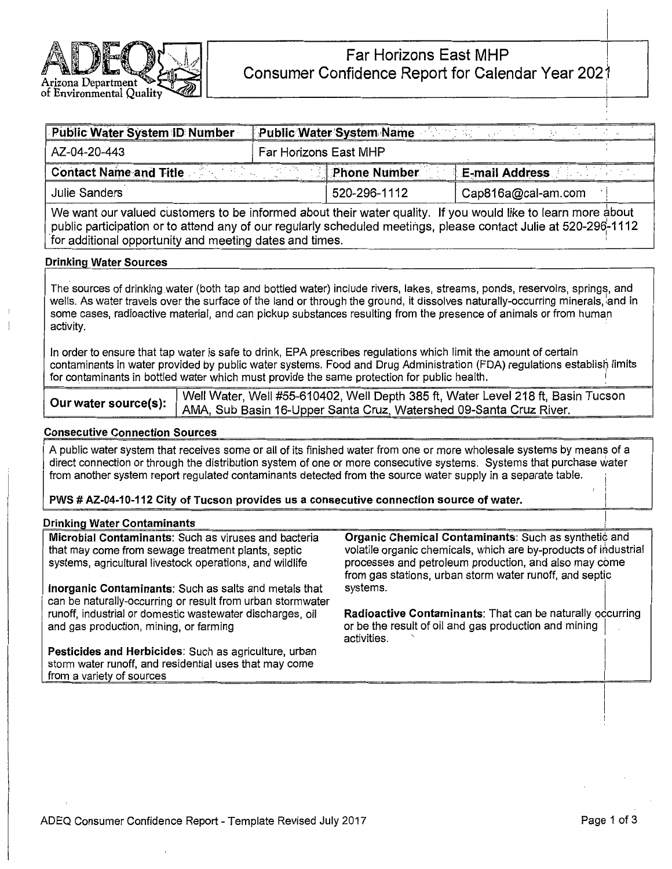

| <b>Public Water System ID Number</b>                                                                                                                                                                                                                                                       | <b>Public Water System Name</b><br>$-1$ |                     |                       |  |  |  |  |  |
|--------------------------------------------------------------------------------------------------------------------------------------------------------------------------------------------------------------------------------------------------------------------------------------------|-----------------------------------------|---------------------|-----------------------|--|--|--|--|--|
| AZ-04-20-443                                                                                                                                                                                                                                                                               | Far Horizons East MHP                   |                     |                       |  |  |  |  |  |
| <b>Contact Name and Title</b>                                                                                                                                                                                                                                                              | ak till 1940                            | <b>Phone Number</b> | <b>E-mail Address</b> |  |  |  |  |  |
| <b>Julie Sanders</b>                                                                                                                                                                                                                                                                       |                                         | 520-296-1112        | Cap816a@cal-am.com    |  |  |  |  |  |
| We want our valued customers to be informed about their water quality. If you would like to learn more about<br>public participation or to attend any of our regularly scheduled meetings, please contact Julie at 520-296-1112<br>for additional opportunity and meeting dates and times. |                                         |                     |                       |  |  |  |  |  |
| <b>Drinking Water Sources</b>                                                                                                                                                                                                                                                              |                                         |                     |                       |  |  |  |  |  |
| The sources of drinking water (both tap and bottled water) include rivers, lakes, streams, ponds, reservoirs, springs, and                                                                                                                                                                 |                                         |                     |                       |  |  |  |  |  |

wells. As water travels over the surface of the land or through the ground, it dissolves naturally-occurring minerals, and in some cases, radioactive material, and can pickup substances resulting from the presence of animals or from human activity.

In order to ensure that tap water is safe to drink, EPA prescribes regulations which limit the amount of certain contaminants in water provided by public water systems. Food and Drug Administration (FDA) regulations establish limits for contaminants in bottled water which must provide the same protection for public health.

|  | Well Water, Well #55-610402, Well Depth 385 ft, Water Level 218 ft, Basin Tucson         |
|--|------------------------------------------------------------------------------------------|
|  | Jur water source(s):   AMA, Sub Basin 16-Upper Santa Cruz, Watershed 09-Santa Cruz River |

# **Consecutive Connection Sources**

A public water system that receives some or all of its finished water from one or more wholesale systems by means of a direct connection or through the distribution system of one or more consecutive systems. Systems that purchase water from another system report regulated contaminants detected from the source water supply in a separate table.

**PWS** # **AZ-04-10-112 City of Tucson provides us a consecutive connection source of water.** I

## **Drinking Water Contaminants**

**Microbial Contaminants:** Such as viruses and bacteria that may come from sewage treatment plants, septic systems, agricultural livestock operations, and wildlife **Inorganic Contaminants:** Such as salts and metals that can be naturally-occurring or result from urban stormwater runoff, industrial or domestic wastewater discharges, oil and gas production, mining, or farming **Pesticides and Herbicides:** Such as agriculture, urban storm water runoff, and residential uses that may come from a variety of sources **Organic Chemical Contaminants: Such as synthetic and** volatile organic chemicals, which are by-products of industrial processes and petroleum production, and also may come from gas stations, urban storm water runoff, and septic systems. **Radioactive Contaminants: That can be naturally occurring** or be the result of oil and gas production and mining I activities.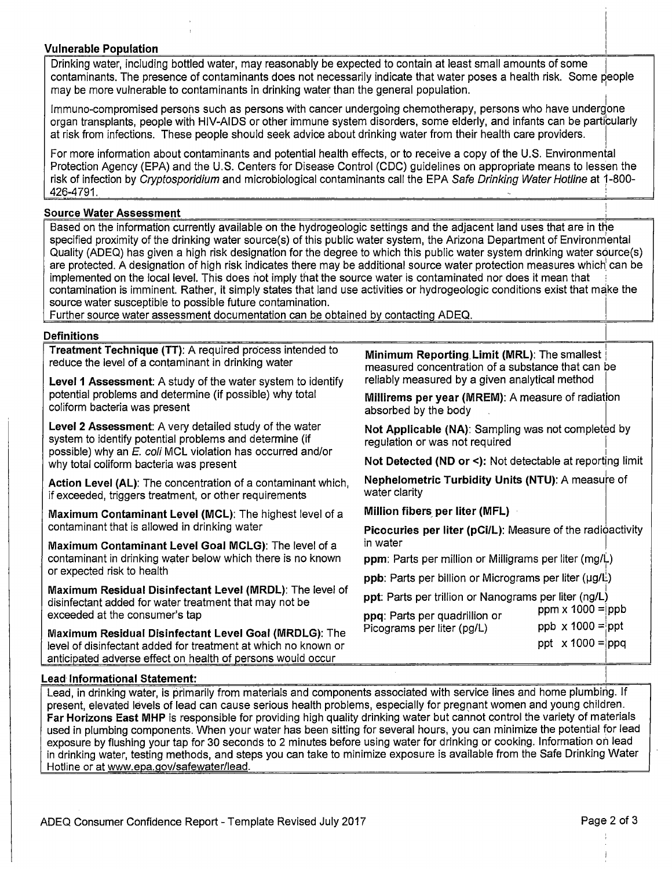# **Vulnerable Population**

Drinking water, including bottled water, may reasonably be expected to contain at least small amounts of some contaminants. The presence of contaminants does not necessarily indicate that water poses a health risk. Some people may be more vulnerable to contaminants in drinking water than the general population. <sup>1</sup>

Immuno-compromised persons such as persons with cancer undergoing chemotherapy, persons who have undergone organ transplants, people with HIV-AIDS or other immune system disorders, some elderly, and infants can be particularly at risk from infections. These people should seek advice about drinking water from their health care providers. I

For more information about contaminants and potential health effects, or to receive a copy of the U.S. Environmental Protection Agency (EPA) and the U.S. Centers for Disease Control (CDC) guidelines on appropriate means to lessen the risk of infection by Cryptosporidium and microbiological contaminants call the EPA Safe Drinking Water Hotline at 1-800- 426-4791. :

## **Source Water Assessment**

Based on the information currently available on the hydrogeologic settings and the adjacent land uses that are in the specified proximity of the drinking water source(s) of this public water system, the Arizona Department of Environmental Quality (ADEQ) has given a high risk designation for the degree to which this public water system drinking water source(s) are protected. A designation of high risk indicates there may be additional source water protection measures which can be implemented on the local level. This does not imply that the source water is contaminated nor does it mean that contamination is imminent. Rather, it simply states that land use activities or hydrogeologic conditions exist that make the source water susceptible to possible future contamination.

Further source water assessment documentation can be obtained by contacting ADEQ.

## **Definitions**

**Treatment Technique (TT):** A required process intended to reduce the level of a contaminant in drinking water

**Level 1 Assessment:** A study of the water system to identify potential problems and determine (if possible) why total coliform bacteria was present

**Level 2 Assessment:** A very detailed study of the water system to identify potential problems and determine (if possible) why an E. coli MCL violation has occurred and/or why total coliform bacteria was present

**Action Level (AL):** The concentration of a contaminant which, if exceeded, triggers treatment, or other requirements

**Maximum Contaminant Level (MCL):** The highest level of a contaminant that is allowed in drinking water

**Maximum Contaminant Level Goal MCLG):** The level of a contaminant in drinking water below which there is no known or expected risk to health

**Maximum Residual Disinfectant Level (MRDL):** The level of disinfectant added for water treatment that may not be exceeded at the consumer's tap

**Maximum Residual Disinfectant Level Goal (MRDLG):** The level of disinfectant added for treatment at which no known or anticipated adverse effect on health of persons would occur

! **Minimum Reporting. Limit (MRL):** The smallest : measured concentration of a substance that can be reliably measured by a given analytical method

**Millirems per year (MREM):** A measure of radiation absorbed by the body

Not Applicable (NA): Sampling was not completed by regulation or was not required

**Not Detected (ND or <):** Not detectable at reporting limit

**Nephelometric Turbidity Units (NTU):** A measure of water clarity

**Million fibers per liter (MFL)** 

**Picocuries per liter (pCi/L):** Measure of the radioactivity in water

**ppm**: Parts per million or Milligrams per liter (mg/L)

**ppb**: Parts per billion or Micrograms per liter (µg/L)

. .<br>**ppt**: Parts per trillion or Nanograms per liter (ng/L)

| ppq: Parts per quadrillion or | $ppm \times 1000 = ppb$ |
|-------------------------------|-------------------------|
| Picograms per liter (pg/L)    | ppb $x 1000 =$ ppt      |
|                               | ppt $x 1000 =$ ppq      |

## **Lead· Informational Statement:**

Lead, in drinking water, is primarily from materials and components associated with service lines and home plumbing. If present, elevated levels of lead can cause serious health problems, especially for pregnant women and young children. **Far Horizons East MHP** is responsible for providing high quality drinking water but cannot control the variety of materials used in plumbing components. When your water has been sitting for several hours, you can minimize the potential for lead exposure by flushing your tap for 30 seconds to 2 minutes before using water for drinking or cooking. Information on lead in drinking water, testing methods, and steps you can take to minimize exposure is available from the Safe Drinking Water Hotline or at www.epa.gov/safewater/lead.

 $\overline{\mathbb{L}}$